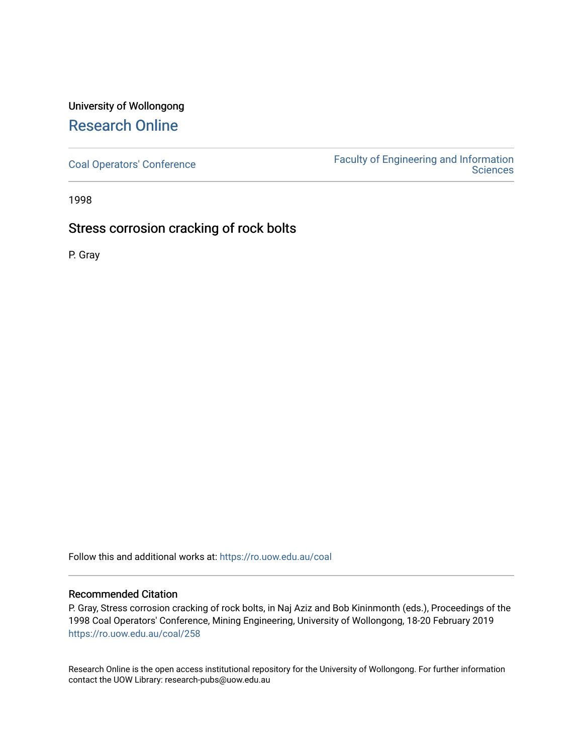# University of Wollongong [Research Online](https://ro.uow.edu.au/)

[Coal Operators' Conference](https://ro.uow.edu.au/coal) [Faculty of Engineering and Information](https://ro.uow.edu.au/eis)  **Sciences** 

1998

# Stress corrosion cracking of rock bolts

P. Gray

Follow this and additional works at: [https://ro.uow.edu.au/coal](https://ro.uow.edu.au/coal?utm_source=ro.uow.edu.au%2Fcoal%2F258&utm_medium=PDF&utm_campaign=PDFCoverPages) 

# Recommended Citation

P. Gray, Stress corrosion cracking of rock bolts, in Naj Aziz and Bob Kininmonth (eds.), Proceedings of the 1998 Coal Operators' Conference, Mining Engineering, University of Wollongong, 18-20 February 2019 [https://ro.uow.edu.au/coal/258](https://ro.uow.edu.au/coal/258?utm_source=ro.uow.edu.au%2Fcoal%2F258&utm_medium=PDF&utm_campaign=PDFCoverPages) 

Research Online is the open access institutional repository for the University of Wollongong. For further information contact the UOW Library: research-pubs@uow.edu.au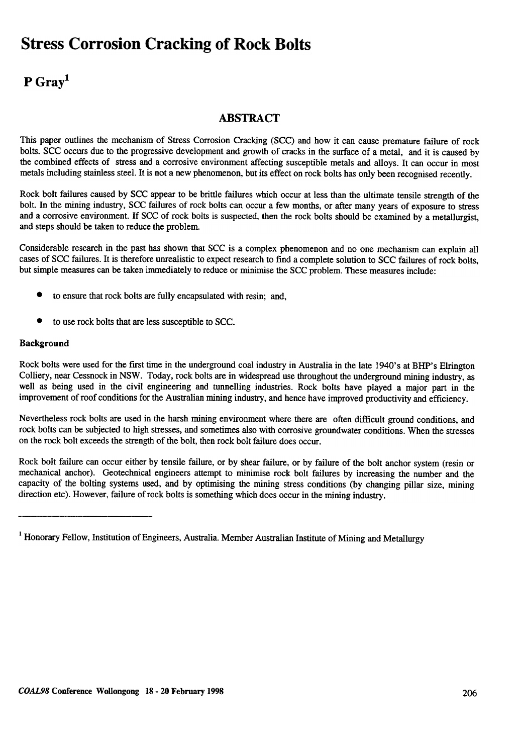# **Stress Corrosion Cracking of Rock Bolts**

# P Gray<sup>1</sup>

# **ABSTRACT**

This paper outlines the mechanism of Stress Corrosion Cracking (SCC) and how it can cause premature failure of rock bolts. SCC occurs due to the progressive development and growth of cracks in the surface of a metal, and it is caused by the combined effects of stress and a corrosive environment affecting susceptible metals and alloys. It can occur in most metals including stainless steel. It is not a new phenomenon, but its effect on rock bolts has only been recognised recently.

Rock bolt failures caused by SCC appear to be brittle failures which occur at less than the ultimate tensile strength of the bolt. In the mining industry , SCC failures of rock bolts can occur a few months, or after many years of exposure to stress and a corrosive environment. If SCC of rock bolts is suspected, then the rock bolts should be examined by a metallurgist, and steps should be taken to reduce the problem.

Considerable research in the past has shown that SCC is a complex phenomenon and no one mechanism can explain all cases of SCC failures. It is therefore unrealistic to expect research to find a complete solution to SCC failures of rock bolts, but simple measures can be taken immediately to reduce or minimise the SCC problem. These measures include:

- . to ensure that rock bolts are fully encapsulated with resin; and,
- $\bullet$  to use rock bolts that are less susceptible to SCC.

## Background

Rock bolts were used for the first time in the underground coal industry in Australia in the late 1940's at BHP's Elrington Colliery, near Cessnock in NSW. Today, rock bolts are in widespread use throughout the underground mining industry, as well as being used in the civil engineering and tunnelling industries. Rock bolts have played a major part in the improvement of roof conditions for the Australian mining industry, and hence have improved productivity and efficiency.

Nevertheless rock bolts are used in the harsh mining environment where there are often difficult ground conditions, and rock bolts can be subjected to high stresses, and sometimes also with corrosive groundwater conditions. When the stresses on the rock bolt exceeds the strength of the bolt, then rock bolt failure does occur .

Rock bolt failure can occur either by tensile failure, or by shear failure, or by failure of the bolt anchor system (resin or mechanical anchor). Geotechnical engineers attempt to minimise rock bolt failures by increasing the number and the capacity of the bolting systems used, and by optimising the mining stress conditions (by changing pillar size, mining direction etc). However, failure of rock bolts is something which does occur in the mining industry.

<sup>&</sup>lt;sup>1</sup> Honorary Fellow, Institution of Engineers, Australia. Member Australian Institute of Mining and Metallurgy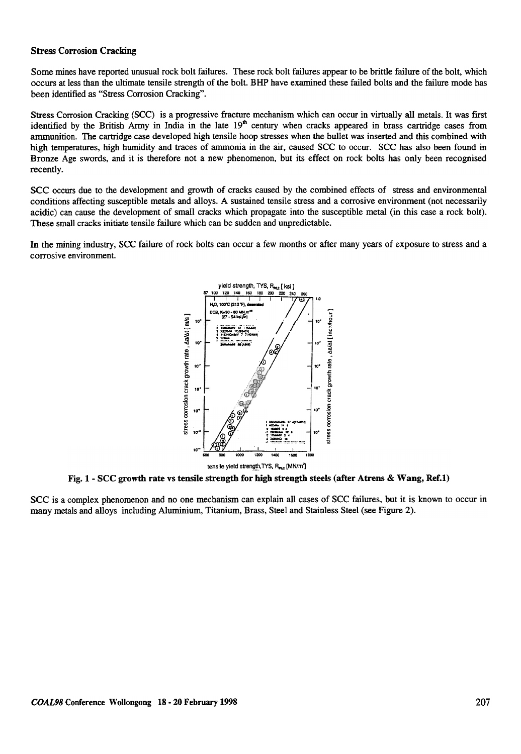### Stress Corrosion Cracking

Some mines have reported unusual rock bolt failures. These rock bolt failures appear to be brittle failure of the bolt, which occurs at less than the ultimate tensile strength of the bolt. BHP have examined these failed bolts and the failure mode has been identified as "Stress Corrosion Cracking".

Stress Corrosion Cracking (SCC) is a progressive fracture mechanism which can occur in virtually all metals. It was first identified by the British Army in India in the late  $19<sup>th</sup>$  century when cracks appeared in brass cartridge cases from ammunition. The cartridge case developed high tensile hoop stresses when the bullet was inserted and this combined with high temperatures, high humidity and traces of ammonia in the air, caused SCC to occur. SCC has also been found in Bronze Age swords, and it is therefore not a new phenomenon, but its effect on rock bolts has only been recognised recently.

SCC occurs due to the development and growth of cracks caused by the combined effects of stress and environmental conditions affecting susceptible metals and alloys. A sustained tensile stress and a corrosive environment (not necessarily acidic) can cause the development of small cracks which propagate into the susceptible metal (in this case a rock bolt). These small cracks initiate tensile failure which can be sudden and unpredictable.

In the mining industry, SCC failure of rock bolts can occur a few months or after many years of exposure to stress and a corrosive environment.



Fig. 1- SCC growth rate vs tensile strength for high strength steels (after Atrens & Wang, Ref.l)

SCC is a complex phenomenon and no one mechanism can explain all cases of SCC failures, but it is known to occur in many metals and alloys including Aluminium, Titanium, Brass, Steel and Stainless Steel (see Figure 2).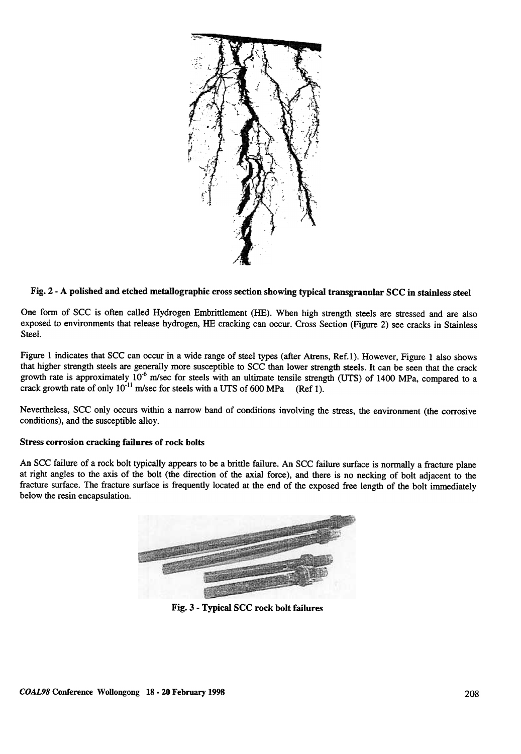

# Fig. 2 -A polished and etched metallographic cross section showing typical transgranular SCC in stainless steel

One form of SCC is often called Hydrogen Embrittlement (HE). When high strength steels are stressed and are also exposed to environments that release hydrogen, HE cracking can occur. Cross Section (Figure 2) see cracks in Stainless Steel.

Figure 1 indicates that SCC can occur in a wide range of steel types (after Atrens, Ref.1). However, Figure 1 also shows that higher strength steels are generally more susceptible to SCC than lower strength steels. It can be seen that the crack growth rate is approximately  $10^{-6}$  m/sec for steels with an ultimate tensile strength (UTS) of 1400 MPa, compared to a crack growth rate of only  $10^{-11}$  m/sec for steels with a UTS of 600 MPa (Ref 1).

Nevertheless, SCC only occurs within a narrow band of conditions involving the stress, the environment (the corrosive conditions), and the susceptible alloy.

#### Stress corrosion cracking failures of rock bolts

An scc failure of a rock bolt typically appears to be a brittle failure. An SCC failure surface is norrnally a fracture plane at right angles to the axis of the bolt (the direction of the axial force), and there is no necking of bolt adjacent to the fracture surface. The fracture surface is frequently located at the end of the exposed free length of the bolt immediately below the resin encapsulation.



Fig. 3 - Typical SCC rock bolt failures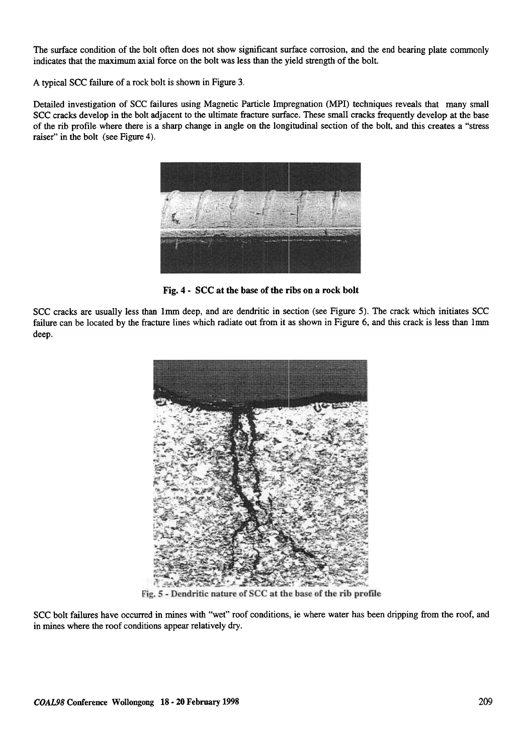The surface condition of the bolt often does not show significant surface corrosion, and the end bearing plate commonly indicates that the maximum axial force on the bolt was less than the yield strength of the bolt.

A typical scc failure of a rock bolt is shown in Figure 3.

Detailed investigation of SCC failures using Magnetic Particle Impregnation (MPI) techniques reveals that many small SCC cracks develop in the bolt adjacent to the ultimate fracture surface. These small cracks frequently develop at the base of the rib profile where there is a sharp change in angle on the longitudinal section of the bolt, and this creates a "stress raiser" in the bolt (see Figure 4).



Fig. 4- SCC at the base of the ribs on a rock bolt

scc cracks are usually less than lmrn deep, and are dendritic in section (see Figure 5). The crack which initiates SCC failure can be located by the fracture lines which radiate out from it as shown in Figure 6, and this crack is less than lmm deep.



Fig. 5 - Dendritic nature of SCC at the base of the rib profile

scc bolt failures have occurred in mines with "wet" roof conditions, ie where water has been dripping from the roof, and in mines where the roof conditions appear relatively dry.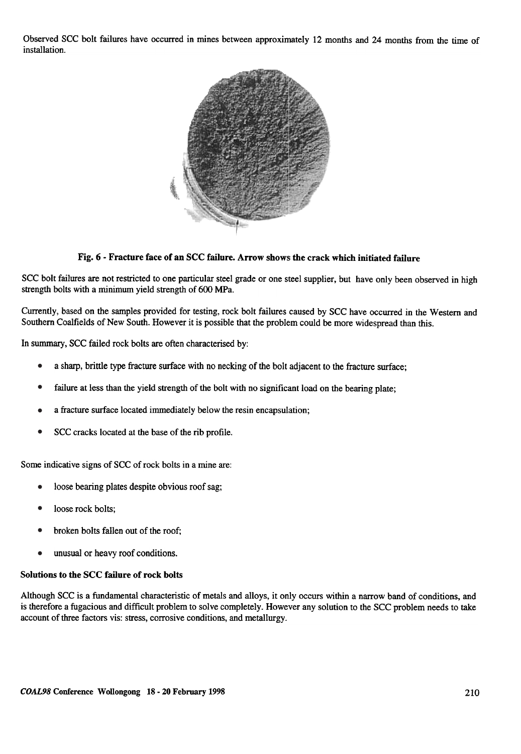Observed SCC bolt failures have occurred in mines between approximately 12 months and 24 months from the time of installation.



Fig. 6 - Fracture face of an SCC failure. Arrow shows the crack which initiated failure

SCC bolt failures are not restricted to one particular steel grade or one steel supplier, but have only been observed in high strength bolts with a minimum yield strength of 600 MPa.

Currently, based on the samples provided for testing, rock bolt failures caused by SCC have occurred in the Western and Southern Coalfields of New South. However it is possible that the problem could be more widespread than this.

In summary, SCC failed rock bolts are often characterised by:

- a sharp, brittle type fracture surface with no necking of the bolt adjacent to the fracture surface; •
- failure at less than the yield strength of the bolt with no significant load on the bearing plate; •
- a fracture surface located immediately below the resin encapsulation; •
- scc cracks located at the base of the rib profile. •

Some indicative signs of SCC of rock bolts in a mine are:

- loose bearing plates despite obvious roof sag; •
- loose rock bolts; •
- broken bolts fallen out of the roof; •
- unusual or heavy roof conditions. •

#### Solutions to the SCC failure of rock bolts

Although SCC is a fundamental characteristic of metals and alloys, it only occurs within a narrow band of conditions, and is therefore a fugacious and difficult problem to solve completely. However any solution to the SCC problem needs to take account of three factors vis: stress, corrosive conditions, and metallurgy.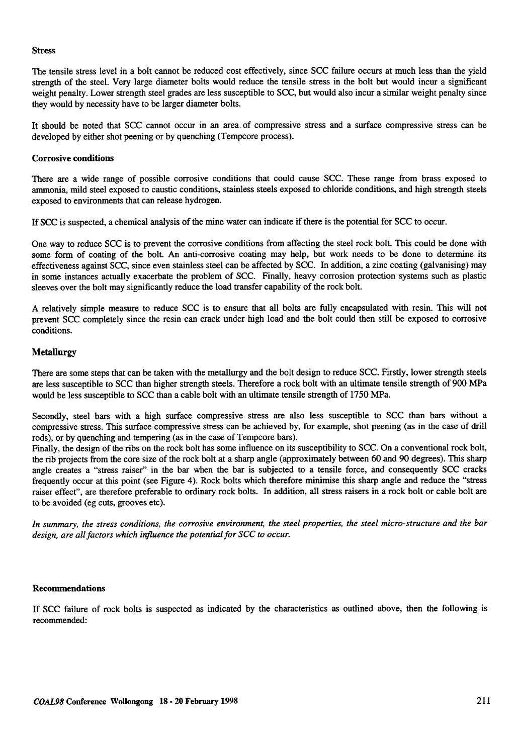#### Stress

The tensile stress level in a bolt cannot be reduced cost effectively, since SCC failure occurs at much less than the yield strength of the steel. Very large diameter bolts would reduce the tensile stress in the bolt but would incur a significant weight penalty. Lower strength steel grades are less susceptible to SCC, but would also incur a similar weight penalty since they would by necessity have to be larger diameter bolts.

It should be noted that SCC cannot occur in an area of compressive stress and a surface compressive stress can be developed by either shot peening or by quenching (Tempcore process).

### Corrosive conditions

There are a wide range of possible corrosive conditions that could cause SCC. These range from brass exposed to ammonia, mild steel exposed to caustic conditions, stainless steels exposed to chloride conditions, and high strength steels exposed to environments that can release hydrogen.

If scc is suspected, a chemical analysis of the mine water can indicate if there is the potential for SCC to occur .

One way to reduce SCC is to prevent the corrosive conditions from affecting the steel rock bolt. This could be done with some form of coating of the bolt. An anti-corrosive coating may help, but work needs to be done to determine its effectiveness against SCC, since even stainless steel can be affected by SCC. In addition, a zinc coating (galvanising) may in some instances actually exacerbate the problem of SCC. Finally, heavy corrosion protection systems such as plastic sleeves over the bolt may significantly reduce the load transfer capability of the rock bolt.

A relatively simple measure to reduce SCC is to ensure that all bolts are fully encapsulated with resin. This will not prevent SCC completely since the resin can crack under high load and the bolt could then still be exposed to corrosive conditions.

## Metallurgy

There are some steps that can be taken with the metallurgy and the bolt design to reduce SCC. Firstly, lower strength steels are less susceptible to SCC than higher strength steels. Therefore a rock bolt with an ultimate tensile strength of 900 MPa would be less susceptible to SCC than a cable bolt with an ultimate tensile strength of 1750 MPa.

Secondly, steel bars with a high surface compressive stress are also less susceptible to SCC than bars without a compressive stress. This surface compressive stress can be achieved by, for example, shot peening (as in the case of drill rods), or by quenching and tempering (as in the case of Tempcore bars).

Finally, the design of the ribs on the rock bolt has some influence on its susceptibility to SCC. On a conventional rock bolt, the rib projects from the core size of the rock bolt at a sharp angle (approximately between 60 and 90 degrees). This sharp angle creates a "stress raiser" in the bar when the bar is subjected to a tensile force, and consequently SCC cracks frequently occur at this point (see Figure 4). Rock bolts which therefore minimise this sharp angle and reduce the "stress raiser effect", are therefore preferable to ordinary rock bolts. In addition, all stress raisers in a rock bolt or cable bolt are to be avoided (eg cuts, grooves etc).

In summary, the stress conditions, the corrosive environment, the steel properties, the steel micro-structure and the bar design, are all factors which influence the potential for SCC to occur.

#### Recommendations

If SCC failure of rock bolts is suspected as indicated by the characteristics as outlined above, then the following is recommended: